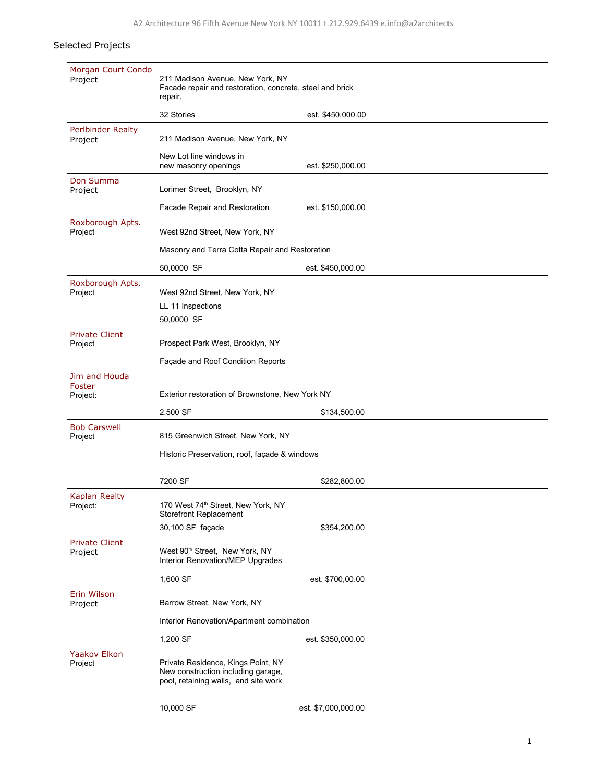## Selected Projects

| Morgan Court Condo<br>Project       | 211 Madison Avenue, New York, NY<br>Facade repair and restoration, concrete, steel and brick<br>repair.          |                     |  |  |
|-------------------------------------|------------------------------------------------------------------------------------------------------------------|---------------------|--|--|
|                                     | 32 Stories                                                                                                       | est. \$450,000.00   |  |  |
| <b>Perlbinder Realty</b><br>Project | 211 Madison Avenue, New York, NY                                                                                 |                     |  |  |
|                                     | New Lot line windows in<br>new masonry openings                                                                  | est. \$250,000.00   |  |  |
| Don Summa<br>Project                | Lorimer Street, Brooklyn, NY                                                                                     |                     |  |  |
|                                     | Facade Repair and Restoration                                                                                    | est. \$150,000.00   |  |  |
| Roxborough Apts.<br>Project         | West 92nd Street, New York, NY                                                                                   |                     |  |  |
|                                     | Masonry and Terra Cotta Repair and Restoration                                                                   |                     |  |  |
|                                     | 50,0000 SF                                                                                                       | est. \$450,000.00   |  |  |
| Roxborough Apts.<br>Project         | West 92nd Street, New York, NY                                                                                   |                     |  |  |
|                                     | LL 11 Inspections                                                                                                |                     |  |  |
|                                     | 50,0000 SF                                                                                                       |                     |  |  |
| <b>Private Client</b><br>Project    | Prospect Park West, Brooklyn, NY                                                                                 |                     |  |  |
|                                     | Façade and Roof Condition Reports                                                                                |                     |  |  |
| Jim and Houda<br>Foster             |                                                                                                                  |                     |  |  |
| Project:                            | Exterior restoration of Brownstone, New York NY                                                                  |                     |  |  |
|                                     | 2,500 SF                                                                                                         | \$134,500.00        |  |  |
| <b>Bob Carswell</b><br>Project      | 815 Greenwich Street, New York, NY                                                                               |                     |  |  |
|                                     | Historic Preservation, roof, façade & windows                                                                    |                     |  |  |
|                                     | 7200 SF                                                                                                          | \$282,800.00        |  |  |
| Kaplan Realty<br>Project:           | 170 West 74 <sup>th</sup> Street, New York, NY<br><b>Storefront Replacement</b>                                  |                     |  |  |
|                                     | 30,100 SF façade                                                                                                 | \$354,200.00        |  |  |
| <b>Private Client</b><br>Project    | West 90 <sup>th</sup> Street, New York, NY<br>Interior Renovation/MEP Upgrades                                   |                     |  |  |
|                                     | 1,600 SF                                                                                                         | est. \$700,00.00    |  |  |
| Erin Wilson<br>Project              | Barrow Street, New York, NY                                                                                      |                     |  |  |
|                                     | Interior Renovation/Apartment combination                                                                        |                     |  |  |
|                                     | 1,200 SF                                                                                                         | est. \$350,000.00   |  |  |
| <b>Yaakov Elkon</b><br>Project      | Private Residence, Kings Point, NY<br>New construction including garage,<br>pool, retaining walls, and site work |                     |  |  |
|                                     | 10,000 SF                                                                                                        | est. \$7,000,000.00 |  |  |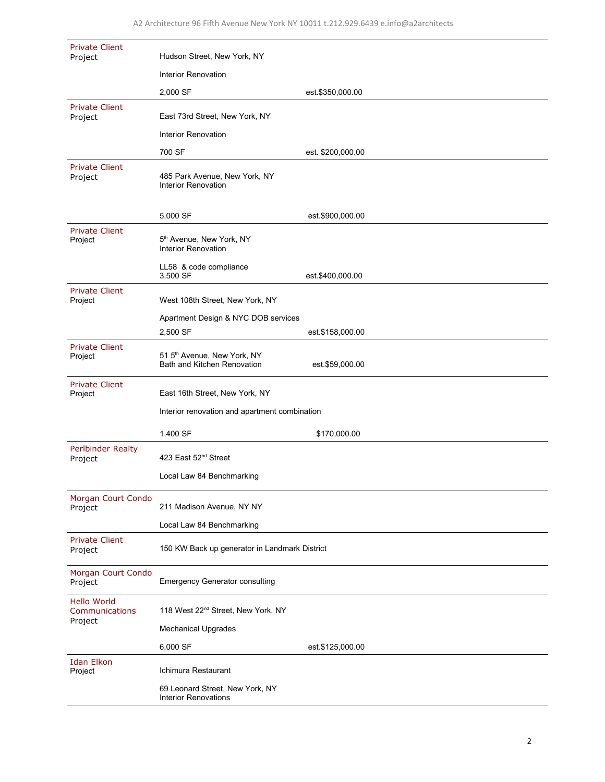| <b>Private Client</b><br>Project                | Hudson Street, New York, NY                                    |                   |  |
|-------------------------------------------------|----------------------------------------------------------------|-------------------|--|
|                                                 | Interior Renovation                                            |                   |  |
|                                                 | 2,000 SF                                                       | est.\$350,000.00  |  |
| <b>Private Client</b><br>Project                | East 73rd Street, New York, NY                                 |                   |  |
|                                                 | Interior Renovation                                            |                   |  |
|                                                 | 700 SF                                                         | est. \$200,000.00 |  |
| <b>Private Client</b><br>Project                | 485 Park Avenue, New York, NY<br>Interior Renovation           |                   |  |
|                                                 | 5,000 SF                                                       | est.\$900,000.00  |  |
| <b>Private Client</b><br>Project                | 5 <sup>th</sup> Avenue, New York, NY<br>Interior Renovation    |                   |  |
|                                                 | LL58 & code compliance<br>3,500 SF                             | est.\$400,000.00  |  |
| <b>Private Client</b><br>Project                | West 108th Street, New York, NY                                |                   |  |
|                                                 | Apartment Design & NYC DOB services                            |                   |  |
|                                                 | 2,500 SF                                                       | est.\$158,000.00  |  |
| <b>Private Client</b><br>Project                | 51 5th Avenue, New York, NY<br>Bath and Kitchen Renovation     | est.\$59,000.00   |  |
| <b>Private Client</b><br>Project                | East 16th Street, New York, NY                                 |                   |  |
|                                                 | Interior renovation and apartment combination                  |                   |  |
|                                                 | 1,400 SF                                                       | \$170,000.00      |  |
| <b>Perlbinder Realty</b><br>Project             | 423 East 52 <sup>nd</sup> Street                               |                   |  |
|                                                 | Local Law 84 Benchmarking                                      |                   |  |
| Morgan Court Condo<br>Project                   | 211 Madison Avenue, NY NY                                      |                   |  |
|                                                 | Local Law 84 Benchmarking                                      |                   |  |
| <b>Private Client</b><br>Project                | 150 KW Back up generator in Landmark District                  |                   |  |
| Morgan Court Condo<br>Project                   | <b>Emergency Generator consulting</b>                          |                   |  |
| <b>Hello World</b><br>Communications<br>Project | 118 West 22 <sup>nd</sup> Street, New York, NY                 |                   |  |
|                                                 | <b>Mechanical Upgrades</b>                                     |                   |  |
|                                                 | 6,000 SF                                                       | est.\$125,000.00  |  |
| <b>Idan Elkon</b><br>Project                    | Ichimura Restaurant                                            |                   |  |
|                                                 | 69 Leonard Street, New York, NY<br><b>Interior Renovations</b> |                   |  |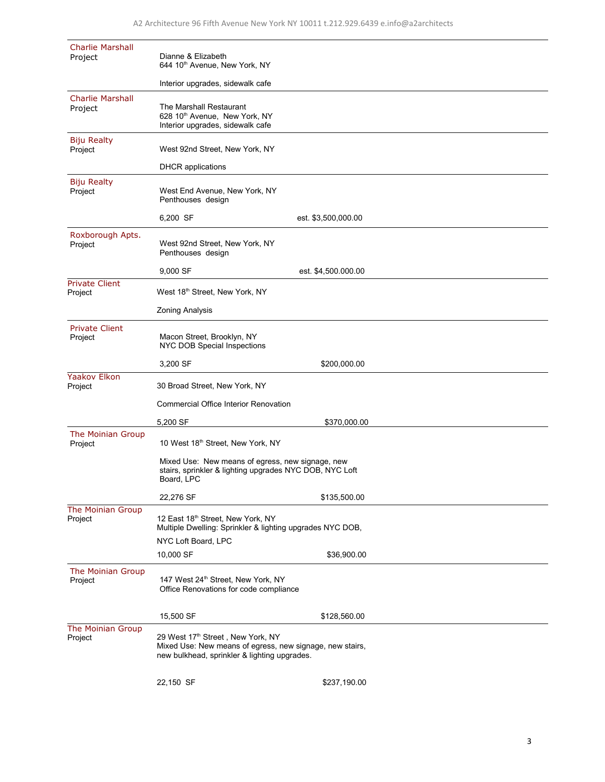| <b>Charlie Marshall</b><br>Project | Dianne & Elizabeth<br>644 10th Avenue, New York, NY                                                                                           |                     |  |  |
|------------------------------------|-----------------------------------------------------------------------------------------------------------------------------------------------|---------------------|--|--|
|                                    | Interior upgrades, sidewalk cafe                                                                                                              |                     |  |  |
| <b>Charlie Marshall</b><br>Project | The Marshall Restaurant<br>628 10th Avenue, New York, NY<br>Interior upgrades, sidewalk cafe                                                  |                     |  |  |
| <b>Biju Realty</b><br>Project      | West 92nd Street, New York, NY                                                                                                                |                     |  |  |
|                                    | <b>DHCR</b> applications                                                                                                                      |                     |  |  |
| <b>Biju Realty</b><br>Project      | West End Avenue, New York, NY<br>Penthouses design                                                                                            |                     |  |  |
|                                    | 6,200 SF                                                                                                                                      | est. \$3,500,000.00 |  |  |
| Roxborough Apts.<br>Project        | West 92nd Street, New York, NY<br>Penthouses design                                                                                           |                     |  |  |
|                                    | 9,000 SF                                                                                                                                      | est. \$4,500.000.00 |  |  |
| <b>Private Client</b><br>Project   | West 18th Street, New York, NY                                                                                                                |                     |  |  |
|                                    | <b>Zoning Analysis</b>                                                                                                                        |                     |  |  |
| <b>Private Client</b><br>Project   | Macon Street, Brooklyn, NY<br>NYC DOB Special Inspections                                                                                     |                     |  |  |
|                                    | 3,200 SF                                                                                                                                      | \$200,000.00        |  |  |
| <b>Yaakov Elkon</b><br>Project     | 30 Broad Street, New York, NY                                                                                                                 |                     |  |  |
|                                    | Commercial Office Interior Renovation                                                                                                         |                     |  |  |
|                                    | 5,200 SF                                                                                                                                      | \$370,000.00        |  |  |
| The Moinian Group<br>Project       | 10 West 18th Street, New York, NY                                                                                                             |                     |  |  |
|                                    | Mixed Use: New means of egress, new signage, new<br>stairs, sprinkler & lighting upgrades NYC DOB, NYC Loft<br>Board, LPC                     |                     |  |  |
|                                    | 22,276 SF                                                                                                                                     | \$135,500.00        |  |  |
| The Moinian Group<br>Project       | 12 East 18th Street, New York, NY<br>Multiple Dwelling: Sprinkler & lighting upgrades NYC DOB,                                                |                     |  |  |
|                                    | NYC Loft Board, LPC                                                                                                                           |                     |  |  |
|                                    | 10,000 SF                                                                                                                                     | \$36,900.00         |  |  |
| The Moinian Group<br>Project       | 147 West 24th Street, New York, NY<br>Office Renovations for code compliance                                                                  |                     |  |  |
|                                    | 15,500 SF                                                                                                                                     | \$128,560.00        |  |  |
| The Moinian Group<br>Project       | 29 West 17th Street, New York, NY<br>Mixed Use: New means of egress, new signage, new stairs,<br>new bulkhead, sprinkler & lighting upgrades. |                     |  |  |
|                                    | 22,150 SF                                                                                                                                     | \$237,190.00        |  |  |